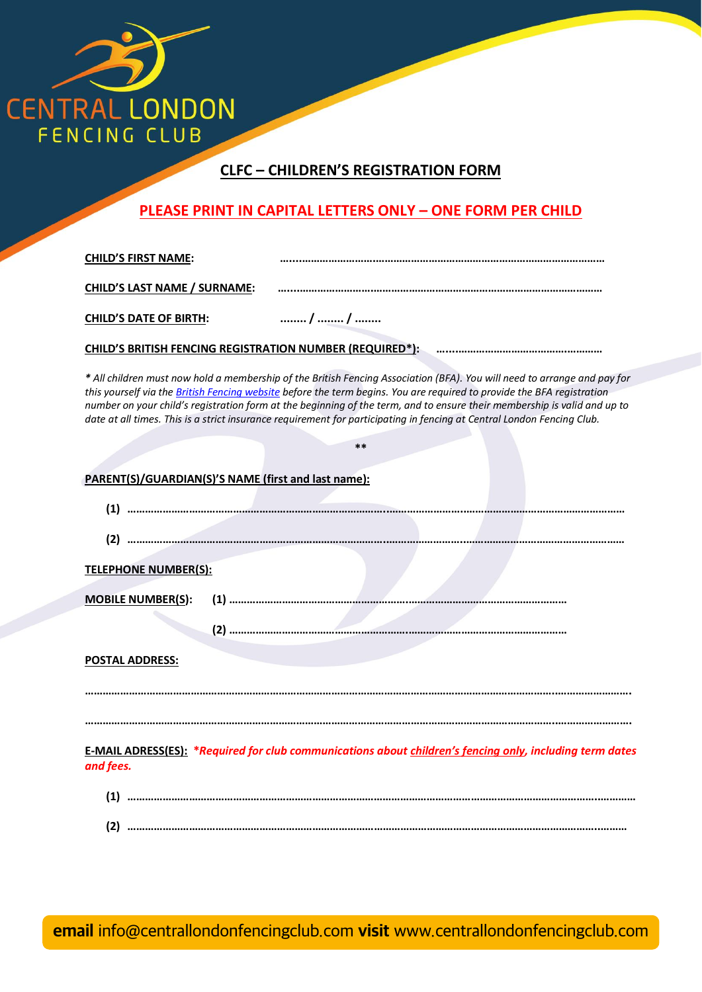

## **CLFC – CHILDREN'S REGISTRATION FORM**

## **PLEASE PRINT IN CAPITAL LETTERS ONLY – ONE FORM PER CHILD**

**CHILD'S FIRST NAME: …....…………………….……………………………………………………………………**

**CHILD'S LAST NAME / SURNAME: …....…………………….……………………………………………………………………**

**CHILD'S DATE OF BIRTH: ........ / ........ / ........**

**CHILD'S BRITISH FENCING REGISTRATION NUMBER (REQUIRED\*):** 

*\* All children must now hold a membership of the British Fencing Association (BFA). You will need to arrange and pay for this yourself via the British Fencing website before the term begins. You are required to provide the BFA registration number on your child's registration form at the beginning of the term, and to ensure their membership is valid and up to date at all times. This is a strict insurance requirement for participating in fencing at Central London Fencing Club.*

| $***$                                                                                                                        |
|------------------------------------------------------------------------------------------------------------------------------|
| PARENT(S)/GUARDIAN(S)'S NAME (first and last name):                                                                          |
|                                                                                                                              |
|                                                                                                                              |
| <b>TELEPHONE NUMBER(S):</b>                                                                                                  |
|                                                                                                                              |
| <b>POSTAL ADDRESS:</b>                                                                                                       |
|                                                                                                                              |
|                                                                                                                              |
| <b>E-MAIL ADRESS(ES): *Required for club communications about children's fencing only, including term dates</b><br>and fees. |
|                                                                                                                              |
|                                                                                                                              |

**email** [info@centrallondonfencingclub.com](mailto:info%40centrallondonfencingclub.com?subject=) **visit** [www.centrallondonfencingclub.com](http://www.centrallondonfencingclub.com)